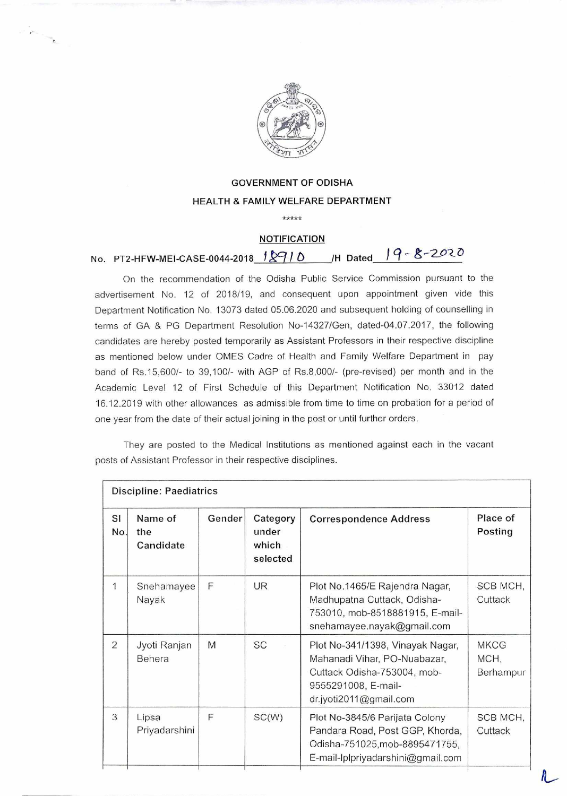

## **GOVERNMENT OF ODISHA HEALTH & FAMILY WELFARE DEPARTMENT**

**\*\*\*\*\*** 

## **NOTIFICATION**

## **No. PT2-HFW-MEI-CASE-0044-2018 12910** /H Dated 19-8-2020

On the recommendation of the Odisha Public Service Commission pursuant to the advertisement No. 12 of 2018/19, and consequent upon appointment given vide this Department Notification No. 13073 dated 05.06.2020 and subsequent holding of counselling in terms of GA & PG Department Resolution No-14327/Gen, dated-04.07.2017, the following candidates are hereby posted temporarily as Assistant Professors in their respective discipline as mentioned below under OMES Cadre of Health and Family Welfare Department in pay band of Rs.15,600/- to 39,100/- with AGP of Rs.8,000/- (pre-revised) per month and in the Academic Level 12 of First Schedule of this Department Notification No. 33012 dated 16.12.2019 with other allowances as admissible from time to time on probation for a period of one year from the date of their actual joining in the post or until further orders.

They are posted to the Medical Institutions as mentioned against each in the vacant posts of Assistant Professor in their respective disciplines.

| Discipline: Paediatrics |                             |        |                                        |                                                                                                                                                  |                                  |  |  |
|-------------------------|-----------------------------|--------|----------------------------------------|--------------------------------------------------------------------------------------------------------------------------------------------------|----------------------------------|--|--|
| SI<br>No.               | Name of<br>the<br>Candidate | Gender | Category<br>under<br>which<br>selected | <b>Correspondence Address</b>                                                                                                                    | Place of<br>Posting              |  |  |
| 1                       | Snehamayee<br>Nayak         | F      | UR.                                    | Plot No.1465/E Rajendra Nagar,<br>Madhupatna Cuttack, Odisha-<br>753010, mob-8518881915, E-mail-<br>snehamayee.nayak@gmail.com                   | SCB MCH,<br>Cuttack              |  |  |
| $\overline{2}$          | Jyoti Ranjan<br>Behera      | M      | <b>SC</b>                              | Plot No-341/1398, Vinayak Nagar,<br>Mahanadi Vihar, PO-Nuabazar,<br>Cuttack Odisha-753004, mob-<br>9555291008, E-mail-<br>dr.jyoti2011@gmail.com | <b>MKCG</b><br>MCH,<br>Berhampur |  |  |
| 3                       | Lipsa<br>Priyadarshini      | F      | SC(W)                                  | Plot No-3845/6 Parijata Colony<br>Pandara Road, Post GGP, Khorda,<br>Odisha-751025, mob-8895471755,<br>E-mail-lplpriyadarshini@gmail.com         | SCB MCH,<br>Cuttack              |  |  |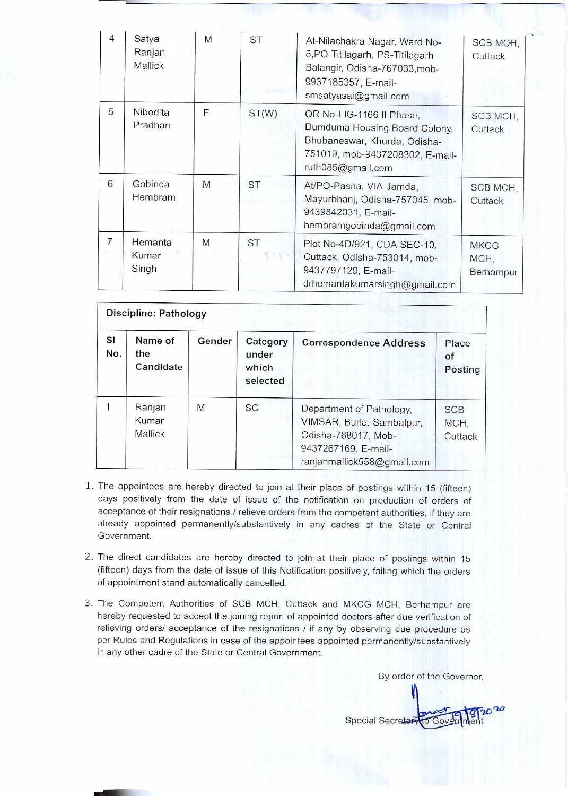| $\overline{4}$ | Satya<br>Ranjan<br>Mallick | M | <b>ST</b> | At-Nilachakra Nagar, Ward No-<br>8, PO-Titilagarh, PS-Titilagarh<br>Balangir, Odisha-767033, mob-<br>9937185357, E-mail-<br>smsatyasai@gmail.com  | SCB MCH,<br>Cuttack              |
|----------------|----------------------------|---|-----------|---------------------------------------------------------------------------------------------------------------------------------------------------|----------------------------------|
| 5              | Nibedita<br>Pradhan        | F | ST(W)     | QR No-LIG-1166 II Phase,<br>Dumduma Housing Board Colony,<br>Bhubaneswar, Khurda, Odisha-<br>751019, mob-9437208302, E-mail-<br>ruth085@gmail.com | SCB MCH,<br>Cuttack              |
| 6              | Gobinda<br>Hembram         | M | <b>ST</b> | At/PO-Pasna, VIA-Jamda,<br>Mayurbhanj, Odisha-757045, mob-<br>9439842031, E-mail-<br>hembramgobinda@gmail.com                                     | SCB MCH.<br>Cuttack              |
| $\overline{7}$ | Hemanta<br>Kumar<br>Singh  | M | <b>ST</b> | Plot No-4D/921, CDA SEC-10,<br>Cuttack, Odisha-753014, mob-<br>9437797129, E-mail-<br>drhemantakumarsingh@gmail.com                               | <b>MKCG</b><br>MCH,<br>Berhampur |

| Discipline: Pathology |                                   |        |                                        |                                                                                                                                   |                               |  |  |  |
|-----------------------|-----------------------------------|--------|----------------------------------------|-----------------------------------------------------------------------------------------------------------------------------------|-------------------------------|--|--|--|
| SI<br>No.             | Name of<br>the<br>Candidate       | Gender | Category<br>under<br>which<br>selected | <b>Correspondence Address</b>                                                                                                     | Place<br>of<br>Posting        |  |  |  |
|                       | Ranjan<br>Kumar<br><b>Mallick</b> | M      | <b>SC</b>                              | Department of Pathology,<br>VIMSAR, Burla, Sambalpur,<br>Odisha-768017, Mob-<br>9437267169, E-mail-<br>ranjanmallick558@gmail.com | <b>SCB</b><br>MCH,<br>Cuttack |  |  |  |

- 1. The appointees are hereby directed to join at their place of postings within 15 (fifteen) days positively from the date of issue of the notification on production of orders of acceptance of their resignations / relieve orders from the competent authorities, if they are already appointed permanently/substantively in any cadres of the State or Central Government.
- 2. The direct candidates are hereby directed to join at their place of postings within 15 (fifteen) days from the date of issue of this Notification positively, failing which the orders of appointment stand automatically cancelled.
- 3. The Competent Authorities of SCB MCH, Cuttack and MKCG MCH, Berhampur are hereby requested to accept the joining report of appointed doctors after due verification of relieving orders/ acceptance of the resignations / if any by observing due procedure as per Rules and Regulations in case of the appointees appointed permanently/substantively in any other cadre of the State or Central Government.

By order of the Governor,

Special Secrets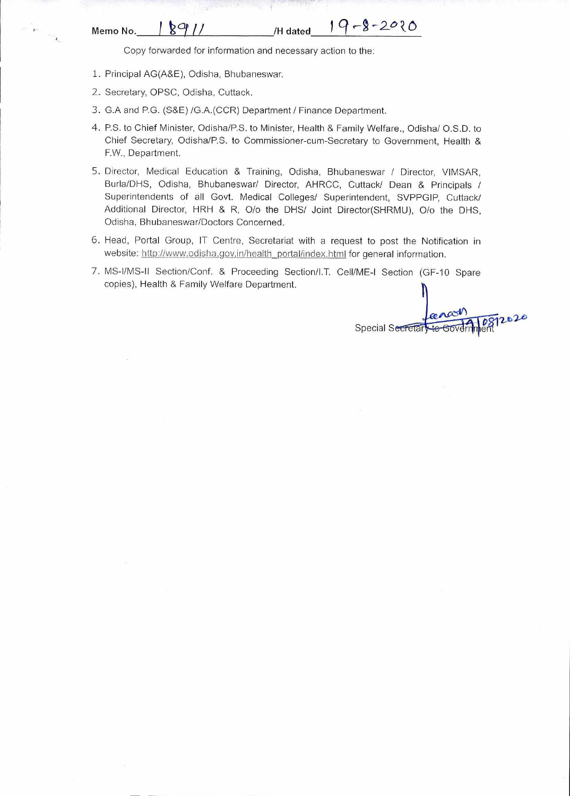## **Memo No. 1 8911 / /H dated 19-8-2020**

Copy forwarded for information and necessary action to the:

- 1. Principal AG(A&E), Odisha, Bhubaneswar.
- 2. Secretary, OPSC, Odisha, Cuttack.
- 3. G.A and P.G. (S&E) /G.A.(CCR) Department / Finance Department.
- 4. P.S. to Chief Minister, Odisha/P.S. to Minister, Health & Family Welfare., Odisha/ O.S.D. to Chief Secretary, Odisha/P.S. to Commissioner-cum-Secretary to Government, Health & F.W., Department.
- 5. Director, Medical Education & Training, Odisha, Bhubaneswar / Director, VIMSAR, Burla/DHS, Odisha, Bhubaneswar/ Director, AHRCC, Cuttack/ Dean & Principals / Superintendents of all Govt. Medical Colleges/ Superintendent, SVPPGIP, Cuttack/ Additional Director, HRH & R, O/o the DHS/ Joint Director(SHRMU), O/o the DHS, Odisha, Bhubaneswar/Doctors Concerned.
- 6. Head, Portal Group, IT Centre, Secretariat with a request to post the Notification in website: http://www.odisha.gov.in/health\_portal/index.html for general information.
- 7. MS-I/MS-11 Section/Conf. & Proceeding Section/I.T. Cell/ME-I Section (GF-10 Spare copies), Health & Family Welfare Department.

rencon<br>Sto Government Special Secreta